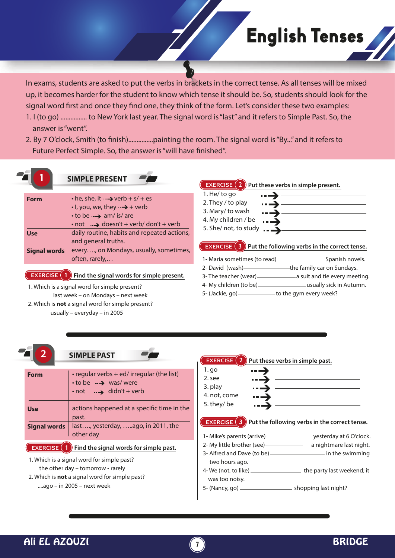In exams, students are asked to put the verbs in brackets in the correct tense. As all tenses will be mixed up, it becomes harder for the student to know which tense it should be. So, students should look for the signal word first and once they find one, they think of the form. Let's consider these two examples:

- 1. I (to go) ................ to New York last year. The signal word is "last" and it refers to Simple Past. So, the answer is "went".
- 2. By 7 O'clock, Smith (to finish).................painting the room. The signal word is "By..." and it refers to Future Perfect Simple. So, the answer is "will have finished".

| <b>Form</b>         | $\cdot$ he, she, it $\rightarrow$ verb + s/ + es<br>$\cdot$ l, you, we, they $\rightarrow$ + verb<br>$\cdot$ to be $\rightarrow$ am/ is/ are<br>$\cdot$ not $\rightarrow$ doesn't + verb/ don't + verb                                    | 1. He/to go<br>$\cdots \rightarrow$<br>2. They / to play<br>3. Mary/to wash<br>$\blacksquare$ $\blacksquare$ $\blacksquare$ $\blacksquare$ $\blacksquare$<br>4. My children / be                                                                                                                                                                                                                                                                          |
|---------------------|-------------------------------------------------------------------------------------------------------------------------------------------------------------------------------------------------------------------------------------------|-----------------------------------------------------------------------------------------------------------------------------------------------------------------------------------------------------------------------------------------------------------------------------------------------------------------------------------------------------------------------------------------------------------------------------------------------------------|
| <b>Use</b>          | daily routine, habits and repeated actions,<br>and general truths.<br>every, on Mondays, usually, sometimes,                                                                                                                              | 5. She/ not, to study $\overline{\phantom{a}1}$<br><b>EXERCISE</b> (3) Put the following verbs in the correct tense.                                                                                                                                                                                                                                                                                                                                      |
| <b>Signal words</b> | often, rarely,                                                                                                                                                                                                                            |                                                                                                                                                                                                                                                                                                                                                                                                                                                           |
|                     | <b>EXERCISE</b> (1) Find the signal words for simple present.<br>1. Which is a signal word for simple present?<br>last week - on Mondays - next week<br>2. Which is not a signal word for simple present?<br>usually - everyday - in 2005 | 2- David (wash) __________________the family car on Sundays.<br>3- The teacher (wear) _______________ a suit and tie every meeting.<br>4- My children (to be) - usually sick in Autumn.<br>5- (Jackie, go) - to the gym every week?                                                                                                                                                                                                                       |
| <b>Form</b>         | <b>SIMPLE PAST</b><br>• regular verbs + ed/ irregular (the list)<br>$\cdot$ to be $\rightarrow$ was/were<br>$\cdot$ not $\rightarrow$ didn't + verb                                                                                       | <b>EXERCISE</b> $(2)$ Put these verbs in simple past.<br>1. go<br>$\begin{picture}(20,20)(-0,0) \put(0,0){\vector(1,0){100}} \put(15,0){\vector(1,0){100}} \put(15,0){\vector(1,0){100}} \put(15,0){\vector(1,0){100}} \put(15,0){\vector(1,0){100}} \put(15,0){\vector(1,0){100}} \put(15,0){\vector(1,0){100}} \put(15,0){\vector(1,0){100}} \put(15,0){\vector(1,0){100}} \put(15,0){\vector(1,0){100}} \put(15,0){\vector(1,0){$<br>2. see<br>3. play |
| <b>Use</b>          | actions happened at a specific time in the                                                                                                                                                                                                | 4. not, come<br><b>)</b> ———————<br>5. they/be                                                                                                                                                                                                                                                                                                                                                                                                            |
|                     | past.                                                                                                                                                                                                                                     | <b>EXERCISE</b> $(3)$ Put the following verbs in the correct tense.                                                                                                                                                                                                                                                                                                                                                                                       |

**EXERCISE** (1) Find the signal words for simple past.

- 1. Which is a signal word for simple past? the other day – tomorrow - rarely
- 2. Which is **not** a signal word for simple past? ....ago – in 2005 – next week

Ali EL AZOUZI **7** BRIDGE

two hours ago.

was too noisy.

2- My little brother (see) - a nightmare last night. 3- Alfred and Dave (to be) \_\_\_\_\_\_\_\_\_\_\_\_\_\_\_\_\_\_\_\_\_\_\_\_\_ in the swimming

English Tenses

4- We (not, to like) \_\_\_\_\_\_\_\_\_\_\_\_\_\_\_\_\_\_\_ the party last weekend; it

5- (Nancy, go) \_\_\_\_\_\_\_\_\_\_\_\_\_\_\_\_\_\_\_\_\_\_ shopping last night?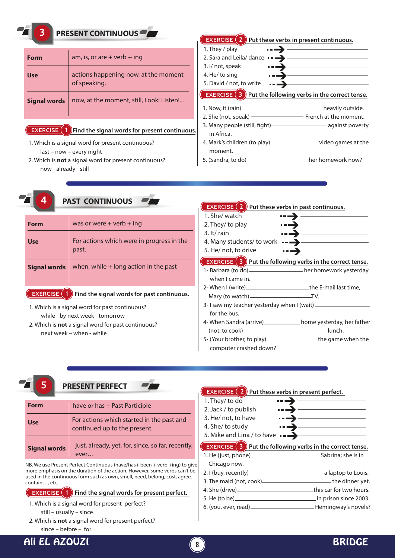# **3 PRESENT CONTINUOUS**

| Form                | am, is, or are $+$ verb $+$ ing                      |
|---------------------|------------------------------------------------------|
| <b>Use</b>          | actions happening now, at the moment<br>of speaking. |
| <b>Signal words</b> | now, at the moment, still, Look! Listen!             |

### **EXERCISE** 1 Find the signal words for present continuous.

- 1. Which is a signal word for present continuous? last – now – every night
- 2. Which is **not** a signal word for present continuous? now - already - still

**4 PAST CONTINUOUS**

### **EXERCISE 2 Put these verbs in present continuous.** 1. They / play  $\overline{\phantom{a}}$ 2. Sara and Leila/ dance  $\cdot$ 3. I/ not, speak 4. He/ to sing 5. David / not, to write  $\cdot$   $\rightarrow$ **EXERCISE 3 Put the following verbs in the correct tense.** 1. Now, it (rain) **heavily outside.** 2. She (not, speak) **FREE 12. She (not, speak)** French at the moment. 3. Many people (still, fight) and against poverty

- in Africa. 4. Mark's children (to play) video games at the
- moment.
- 5. (Sandra, to do) her homework now?

| CUUNIIIVUUJ                                                                                                                                    |                                                    | <b>EXERCISE</b> $(2)$ Put these verbs in past continuous.                                              |                             |
|------------------------------------------------------------------------------------------------------------------------------------------------|----------------------------------------------------|--------------------------------------------------------------------------------------------------------|-----------------------------|
| <b>Form</b>                                                                                                                                    | was or were $+$ verb $+$ ing                       | 1. She/ watch<br>$\rightarrow$                                                                         |                             |
|                                                                                                                                                |                                                    | 2. They/ to play<br>$\rightarrow$                                                                      |                             |
| <b>Use</b>                                                                                                                                     | For actions which were in progress in the<br>past. | $3.$ It/rain<br>$\rightarrow$<br>4. Many students/ to work $\rightarrow$<br>5. He/ not, to drive       | $\overline{\phantom{a}}$    |
| <b>Signal words</b>                                                                                                                            | when, while $+$ long action in the past            | <b>EXERCISE</b> $(3)$ Put the following verbs in the correct tense.<br>when I came in.                 |                             |
| <b>EXERCISE</b> $(1)$ Find the signal words for past continuous.                                                                               |                                                    | 2- When I (write) _______________________________the E-mail last time,                                 |                             |
| 1. Which is a signal word for past continuous?<br>while - by next week - tomorrow<br>2. Which is <b>not</b> a signal word for past continuous? |                                                    | 3- I saw my teacher yesterday when I (wait) _<br>for the bus.<br>4- When Sandra (arrive) _____________ | home yesterday, her father_ |

next week – when - while

### $(not, to cosk)$   $l$ 5- (Your brother, to play) \_\_\_\_\_\_\_\_\_\_\_\_\_\_\_\_\_\_\_\_\_\_\_\_\_the game when the computer crashed down?

# **5 PRESENT PERFECT Form** | have or has + Past Participle | 1. They/ to do

| <b>Use</b>          | For actions which started in the past and<br>continued up to the present. |
|---------------------|---------------------------------------------------------------------------|
| <b>Signal words</b> | just, already, yet, for, since, so far, recently,<br>ever                 |

NB. We use Present Perfect Continuous (have/has+ been + verb +ing) to give more emphasis on the duration of the action. However, some verbs can't be used in the continuous form such as own, smell, need, belong, cost, agree, contain…, etc.

### **EXERCISE (1)** Find the signal words for present perfect.

1. Which is a signal word for present perfect?

still – usually – since

2. Which is **not** a signal word for present perfect?

since – before – for

# Ali EL AZOUZI **8** BRIDGE

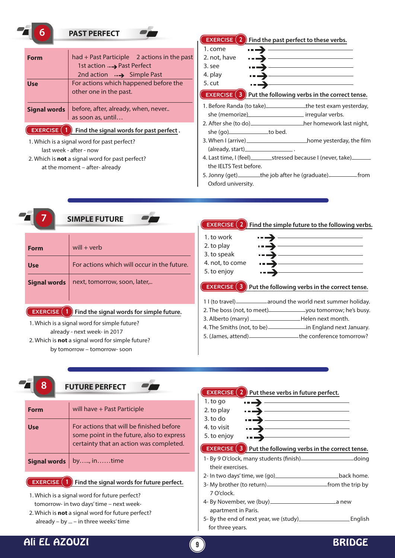| 6                                 | <b>PAST PERFECT</b>                                                         | <b>EXERCISE</b><br>Find the past perfect to these verbs.                                                                                                                                                                          |
|-----------------------------------|-----------------------------------------------------------------------------|-----------------------------------------------------------------------------------------------------------------------------------------------------------------------------------------------------------------------------------|
|                                   |                                                                             | 1. come                                                                                                                                                                                                                           |
| <b>Form</b>                       | had + Past Participle 2 actions in the past                                 | 2. not, have                                                                                                                                                                                                                      |
|                                   | 1st action  > Past Perfect                                                  | 3. see                                                                                                                                                                                                                            |
|                                   | 2nd action $\longrightarrow$ Simple Past                                    | 4. play                                                                                                                                                                                                                           |
| <b>Use</b>                        | For actions which happened before the                                       | 5. cut                                                                                                                                                                                                                            |
|                                   | other one in the past.                                                      | EXERCISE $(3)$<br>Put the following verbs in the correct tense.                                                                                                                                                                   |
| <b>Signal words</b>               | before, after, already, when, never                                         | 1. Before Randa (to take)_________________the test exam yesterday,                                                                                                                                                                |
|                                   | as soon as, until                                                           |                                                                                                                                                                                                                                   |
|                                   |                                                                             |                                                                                                                                                                                                                                   |
|                                   | <b>EXERCISE</b> (1) Find the signal words for past perfect.                 | she (go)________________to bed.                                                                                                                                                                                                   |
|                                   | 1. Which is a signal word for past perfect?                                 |                                                                                                                                                                                                                                   |
|                                   | last week - after - now                                                     |                                                                                                                                                                                                                                   |
|                                   | 2. Which is not a signal word for past perfect?                             | 4. Last time, I (feel)____________stressed because I (never, take)_________                                                                                                                                                       |
|                                   | at the moment - after- already                                              | the IELTS Test before.                                                                                                                                                                                                            |
|                                   |                                                                             | 5. Jonny (get)_________the job after he (graduate)________________from                                                                                                                                                            |
|                                   |                                                                             | Oxford university.                                                                                                                                                                                                                |
| <b>Use</b><br><b>Signal words</b> | For actions which will occur in the future.<br>next, tomorrow, soon, later, | 4. not, to come<br>5. to enjoy<br><b>EXERCISE</b> (3) Put the following verbs in the correct tense.<br>1 I (to travel) _____________ around the world next summer holiday.<br>2. The boss (not, to meet) you tomorrow; he's busy. |
| <b>EXERCISE</b>                   | $\left(1\right)$ Find the signal words for simple future.                   |                                                                                                                                                                                                                                   |
|                                   | 1. Which is a signal word for simple future?                                |                                                                                                                                                                                                                                   |
|                                   | already - next week- in 2017                                                | 5. (James, attend) ____________________the conference tomorrow?                                                                                                                                                                   |
|                                   | 2. Which is not a signal word for simple future?                            |                                                                                                                                                                                                                                   |
|                                   | by tomorrow - tomorrow- soon                                                |                                                                                                                                                                                                                                   |
|                                   |                                                                             |                                                                                                                                                                                                                                   |
|                                   |                                                                             |                                                                                                                                                                                                                                   |
|                                   | <b>FUTURE PERFECT</b>                                                       |                                                                                                                                                                                                                                   |
| ჾ                                 |                                                                             |                                                                                                                                                                                                                                   |
|                                   |                                                                             | <b>EXERCISE</b> $(2)$ Put these verbs in future perfect.<br><u> 1989 - Johann Barn, amerikansk politiker (</u>                                                                                                                    |
| <b>Form</b>                       | will have + Past Participle                                                 | 1. to go                                                                                                                                                                                                                          |
|                                   |                                                                             | 2. to play<br>3. to do                                                                                                                                                                                                            |
| <b>Use</b>                        | For actions that will be finished before                                    | 4. to visit                                                                                                                                                                                                                       |
|                                   | some point in the future, also to express                                   | 5. to enjoy                                                                                                                                                                                                                       |
|                                   | certainty that an action was completed.                                     | <b>)</b> _______________                                                                                                                                                                                                          |
|                                   |                                                                             | <b>EXERCISE</b> (3) Put the following verbs in the correct tense.                                                                                                                                                                 |
| Signal words                      | by, intime                                                                  | 1- By 9 O'clock, many students (finish)_________________________doing                                                                                                                                                             |
|                                   |                                                                             | their exercises.                                                                                                                                                                                                                  |

7 O'clock.

apartment in Paris.

for three years.

4- By November, we (buy) a new

5- By the end of next year, we (study) English

1. Which is a signal word for future perfect? tomorrow- in two days' time – next week-

2. Which is **not** a signal word for future perfect? already – by ... – in three weeks' time

# Ali EL AZOUZI **9** BRIDGE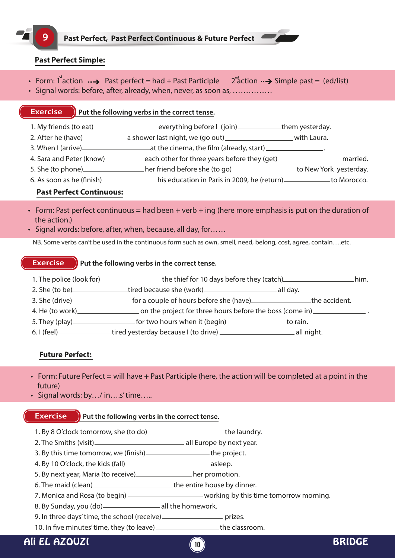# **Past Perfect Simple:**

- Form: 1<sup>st</sup>action  $\cdot \rightarrow$  Past perfect = had + Past Participle 2<sup>nd</sup> action  $\cdot \rightarrow$  Simple past = (ed/list)
- Signal words: before, after, already, when, never, as soon as, ……………

# **Exercise Put the following verbs in the correct tense.**

- 1. My friends (to eat) \_\_\_\_\_\_\_\_\_\_\_\_\_\_\_\_\_\_\_\_\_\_\_everything before I (join) \_\_\_\_\_\_\_\_\_\_\_\_them yesterday.
- 2. After he (have) \_\_\_\_\_\_\_\_\_\_\_\_\_\_\_ a shower last night, we (go out) \_\_\_\_\_\_\_\_\_\_\_\_\_\_\_\_\_\_\_\_\_\_with Laura.
- 3. When I (arrive) and the cinema, the film (already, start)  $\frac{1}{2}$
- 4. Sara and Peter (know) each other for three years before they (get) married.
- 5. She (to phone)\_\_\_\_\_\_\_\_\_\_\_\_\_\_\_\_\_\_her friend before she (to go)\_\_\_\_\_\_\_\_\_\_\_\_\_\_\_\_\_to New York yesterday.
- 6. As soon as he (finish) his education in Paris in 2009, he (return) his education in Paris in 2009, he (return)

# **Past Perfect Continuous:**

- Form: Past perfect continuous = had been + verb + ing (here more emphasis is put on the duration of the action.)
- Signal words: before, after, when, because, all day, for……

NB. Some verbs can't be used in the continuous form such as own, smell, need, belong, cost, agree, contain….etc.

### **Exercise Put the following verbs in the correct tense.**

- 1. The police (look for) \_\_\_\_\_\_\_\_\_\_\_\_\_\_\_\_\_\_\_the thief for 10 days before they (catch) him. 2. She (to be) tired because she (work) all day. 3. She (drive) for a couple of hours before she (have) the accident. 4. He (to work)\_\_\_\_\_\_\_\_\_\_\_\_\_\_\_\_\_\_\_\_\_\_\_\_\_on the project for three hours before the boss (come in)\_\_\_\_\_ 5. They (play) for two hours when it (begin) to rain.
- 6. I (feel) tired yesterday because I (to drive) all night.

# **Future Perfect:**

- Form: Future Perfect = will have + Past Participle (here, the action will be completed at a point in the future)
- Signal words: by…/ in….s' time…..

# **Exercise Put the following verbs in the correct tense.**

- 1. By 8 O'clock tomorrow, she (to do)\_\_\_\_\_\_\_\_\_\_\_\_\_\_\_\_\_\_\_\_\_\_\_\_\_the laundry.
- 2. The Smiths (visit) all Europe by next year.
- 3. By this time tomorrow, we (finish) \_\_\_\_\_\_\_\_\_\_\_\_\_\_\_\_\_\_\_\_\_\_\_the project.
- 4. By 10 O'clock, the kids (fall) asleep.
- 5. By next year, Maria (to receive) her promotion.
- 6. The maid (clean) Contact the entire house by dinner.
- 7. Monica and Rosa (to begin) \_\_\_\_\_\_\_\_\_\_\_\_\_\_\_\_\_\_\_\_\_\_working by this time tomorrow morning.

**10**

- 8. By Sunday, you (do) all the homework.
- 9. In three days' time, the school (receive) **primition** prizes.
- 10. In five minutes' time, they (to leave) \_\_\_\_\_\_\_\_\_\_\_\_\_\_\_\_\_\_\_the classroom.